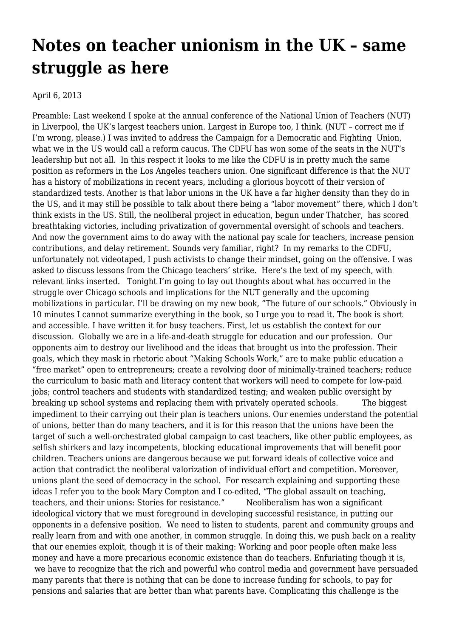## **[Notes on teacher unionism in the UK – same](https://newpol.org/notes-teacher-unionism-uk-same-struggle-here/) [struggle as here](https://newpol.org/notes-teacher-unionism-uk-same-struggle-here/)**

April 6, 2013

Preamble: Last weekend I spoke at the annual conference of the National Union of Teachers (NUT) in Liverpool, the UK's largest teachers union. Largest in Europe too, I think. (NUT – correct me if I'm wrong, please.) I was invited to address the Campaign for a Democratic and Fighting Union, what we in the US would call a reform caucus. The CDFU has won some of the seats in the NUT's leadership but not all. In this respect it looks to me like the CDFU is in pretty much the same position as [reformers](http://www.progressiveeducators.org/PEAC/Main.html) in the [Los Angeles teachers union](http://www.utla.net/). One significant difference is that the NUT has a history of mobilizations in recent years, including a [glorious boycott of their version of](http://www.guardian.co.uk/education/2009/apr/11/sats-teaching) [standardized tests.](http://www.guardian.co.uk/education/2009/apr/11/sats-teaching) Another is that labor unions in the UK have a far higher density than they do in the US, and it may still be possible to talk about there being a "labor movement" there, which I don't think exists in the US. Still, the neoliberal project in education, begun under Thatcher, has scored breathtaking victories, including privatization of [governmental oversight of schools and teachers](http://www.ofsted.gov.uk/about-us). And now the government aims to do away with the national pay scale for teachers, increase pension contributions, and delay retirement. Sounds very familiar, right? In my remarks to the CDFU, unfortunately not videotaped, I push activists to change their mindset, going on the offensive. I was asked to discuss lessons from the Chicago teachers' strike. Here's the text of my speech, with relevant links inserted. Tonight I'm going to lay out thoughts about what has occurred in the struggle over Chicago schools and implications for the NUT generally and the upcoming mobilizations in particular. I'll be drawing on my new book, "The future of our schools." Obviously in 10 minutes I cannot summarize everything in the book, so I urge you to read it. [The book is short](http://blogs.edweek.org/teachers/living-in-dialogue/2012/11/book_review_the_future_of_our_.html) [and accessible. I have written it for busy teachers.](http://blogs.edweek.org/teachers/living-in-dialogue/2012/11/book_review_the_future_of_our_.html) First, let us establish the context for our discussion. [Globally we are in a life-and-death struggle for education and our profession.](http://educationincrisis.net/blog/item/581-why-does-the-world-bank-hate-teachers) Our opponents aim to destroy our livelihood and the ideas that brought us into the profession. Their goals, which they mask in rhetoric about ["Making Schools Work,"](http://siteresources.worldbank.org/EDUCATION/Resources/278200-1298568319076/makingschoolswork.pdf) are to make public education a "free market" open to entrepreneurs; create a revolving door of minimally-trained teachers; reduce the curriculum to basic math and literacy content that workers will need to compete for low-paid jobs; control teachers and students with standardized testing; and weaken public oversight by breaking up school systems and replacing them with privately operated schools. The biggest impediment to their carrying out their plan is teachers unions. Our enemies understand the potential of unions, better than do many teachers, and it is for this reason that the unions have been the target of such a well-orchestrated global campaign to cast teachers, like other public employees, as selfish shirkers and lazy incompetents, blocking educational improvements that will benefit poor children. Teachers unions are dangerous because we put forward ideals of collective voice and action that contradict the neoliberal valorization of individual effort and competition. Moreover, unions plant the seed of democracy in the school. For research explaining and supporting these ideas I refer you to the book Mary Compton and I co-edited, ["The global assault on teaching,](http://www.haymarketbooks.org/pb/The-Future-of-Our-Schools) [teachers, and their unions: Stories for resistance."](http://www.haymarketbooks.org/pb/The-Future-of-Our-Schools) Neoliberalism has won a significant ideological victory that we must foreground in developing successful resistance, in putting our opponents in a defensive position. [We need to listen to students, parent and community groups and](http://vimeo.com/45011875) [really learn from and with one another, in common struggle.](http://vimeo.com/45011875) In doing this, we push back on a reality that our enemies exploit, though it is of their making: Working and poor people often make less money and have a more precarious economic existence than do teachers. Enfuriating though it is, we have to recognize that the rich and powerful who control media and government have persuaded many parents that there is nothing that can be done to increase funding for schools, to pay for pensions and salaries that are better than what parents have. Complicating this challenge is the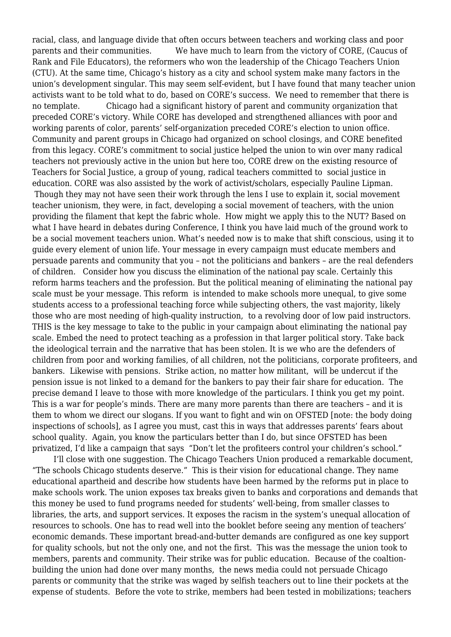racial, class, and language divide that often occurs between teachers and working class and poor parents and their communities. We have much to learn from the victory of [CORE, \(Caucus of](http://www.coreteachers.com/) [Rank and File Educators\),](http://www.coreteachers.com/) the reformers who won the leadership of the Chicago Teachers Union (CTU). At the same time, Chicago's history as a city and school system make many factors in the union's development singular. This may seem self-evident, but I have found that many teacher union activists want to be told what to do, based on CORE's success. We need to remember that there is no template. Chicago had a significant history of parent and community organization that preceded CORE's victory. While CORE has developed and strengthened alliances with poor and working parents of color, parents' self-organization preceded CORE's election to union office. Community and parent groups in Chicago had organized on school closings, and CORE benefited from this legacy. CORE's commitment to social justice helped the union to win over many radical teachers not previously active in the union but here too, CORE drew on the existing resource of [Teachers for Social Justice,](http://www.teachersforjustice.org/) a group of young, radical teachers committed to social justice in education. CORE was also assisted by the work of activist/scholars, [especially Pauline Lipman.](http://www.democracynow.org/2012/9/10/chicago_teachers_strike_could_portend_referendum) Though they may not have seen their work through the lens I use to explain it, social movement teacher unionism, they were, in fact, developing a social movement of teachers, with the union providing the filament that kept the fabric whole. How might we apply this to the NUT? Based on what I have heard in debates during Conference, I think you have laid much of the ground work to be a social movement teachers union. What's needed now is to make that shift conscious, using it to guide every element of union life. Your message in every campaign must educate members and persuade parents and community that you – not the politicians and bankers – are the real defenders of children. Consider how you discuss the elimination of the national pay scale. Certainly this reform harms teachers and the profession. But the political meaning of eliminating the national pay scale must be your message. This reform is intended to make schools more unequal, to give some students access to a professional teaching force while subjecting others, the vast majority, likely those who are most needing of high-quality instruction, to a revolving door of low paid instructors. THIS is the key message to take to the public in your campaign about eliminating the national pay scale. Embed the need to protect teaching as a profession in that larger political story. Take back the ideological terrain and the narrative that has been stolen. It is we who are the defenders of children from poor and working families, of all children, not the politicians, corporate profiteers, and bankers. Likewise with pensions. Strike action, no matter how militant, will be undercut if the pension issue is not linked to a demand for the bankers to pay their fair share for education. The precise demand I leave to those with more knowledge of the particulars. I think you get my point. This is a war for people's minds. There are many more parents than there are teachers – and it is them to whom we direct our slogans. If you want to fight and win on OFSTED [note: the body doing inspections of schools], as I agree you must, cast this in ways that addresses parents' fears about school quality. Again, you know the particulars better than I do, but since OFSTED has been privatized, I'd like a campaign that says "Don't let the profiteers control your children's school."

 I'll close with one suggestion. The Chicago Teachers Union produced a remarkable document, ["The schools Chicago students deserve."](http://www.ctunet.com/quest-center/research/the-schools-chicagos-students-deserve) This is their vision for educational change. They name educational apartheid and describe how students have been harmed by the reforms put in place to make schools work. The union exposes tax breaks given to banks and corporations and demands that this money be used to fund programs needed for students' well-being, from smaller classes to libraries, the arts, and support services. It exposes the racism in the system's unequal allocation of resources to schools. One has to read well into the booklet before seeing any mention of teachers' economic demands. These important bread-and-butter demands are configured as one key support for quality schools, but not the only one, and not the first. This was the message the union took to members, parents and community. Their strike was for public education. Because of the coaltionbuilding the union had done over many months, the news media could not persuade Chicago parents or community that the strike was waged by selfish teachers out to line their pockets at the expense of students. Before the vote to strike, members had been tested in mobilizations; teachers